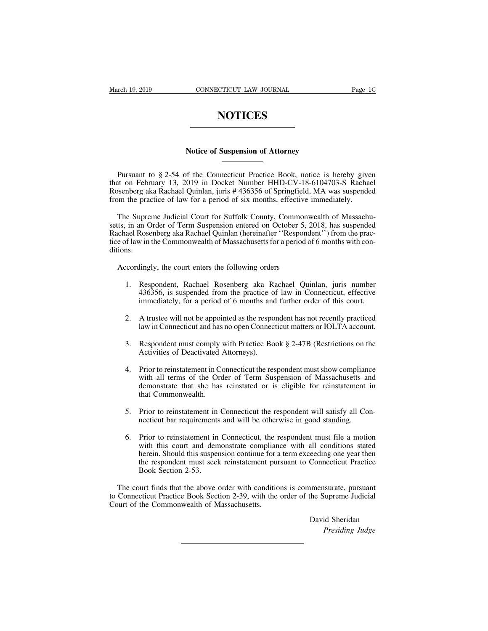## **NOTICES**

# **NOTICES**<br>Notice of Suspension of Attorney

NOTICES<br>
Notice of Suspension of Attorney<br>
Pursuant to § 2-54 of the Connecticut Practice Book, notice is hereby given<br>
at on February 13, 2019 in Docket Number HHD-CV-18-6104703-S Rachael<br>
Seenberg aka Rachael Quinlan, ju Notice of Suspension of Attorney<br>
Nursuant to § 2-54 of the Connecticut Practice Book, notice is hereby given<br>
that on February 13, 2019 in Docket Number HHD-CV-18-6104703-S Rachael<br>
Rosenberg aka Rachael Quinlan, juris # Notice of Suspension of Attorney<br>
Pursuant to § 2-54 of the Connecticut Practice Book, notice is hereby given<br>
that on February 13, 2019 in Docket Number HHD-CV-18-6104703-S Rachael<br>
Rosenberg aka Rachael Quinlan, juris # **From the practice of Suspension of Attorney**<br> **Fursuant to § 2-54 of the Connecticut Practice Book, notice is hereby give**<br>
that on February 13, 2019 in Docket Number HHD-CV-18-6104703-S Racha<br>
Rosenberg aka Rachael Quinl Pursuant to § 2-54 of the Connecticut Practice Book, notice is hereby given<br>the on February 13, 2019 in Docket Number HHD-CV-18-6104703-S Rachael<br>senberg aka Rachael Quinlan, juris # 436356 of Springfield, MA was suspended

Pursuant to § 2-54 of the Connecticut Practice Book, notice is hereby given<br>that on February 13, 2019 in Docket Number HHD-CV-18-6104703-S Rachael<br>Rosenberg aka Rachael Quinlan, juris # 436356 of Springfield, MA was suspen The Superior of  $\frac{1}{2}$  and  $\frac{1}{2}$  and  $\frac{1}{2}$  and  $\frac{1}{2}$  and  $\frac{1}{2}$  and  $\frac{1}{2}$  and  $\frac{1}{2}$  and  $\frac{1}{2}$  and  $\frac{1}{2}$  and  $\frac{1}{2}$  Rosenberg aka Rachael Quinlan, juris # 436356 of Springfield, MA was The Supreme Judicial Court for Suffolk County, Commonwealth of Massachusetts, in an Order of Term Suspension entered on October 5, 2018, has suspended Rachael Rosenberg aka Rachael Quinlan (hereinafter "Respondent") from t ditions. The Supreme Judicial Court for Suffolk County, Commonts, in an Order of Term Suspension entered on October 5, chael Rosenberg aka Rachael Quinlan (hereinafter "Responde of law in the Commonwealth of Massachusetts for a per 1. Respondent, Rachael Quinlan (hereinafter "Respondent") from the practical Rosenberg aka Rachael Quinlan (hereinafter "Respondent") from the practical flaw in the Commonwealth of Massachusetts for a period of 6 months wi

- win the Commonwealth of Massachusetts for a period of 6 months with con-<br>lingly, the court enters the following orders<br>Respondent, Rachael Rosenberg aka Rachael Quinlan, juris number<br>436356, is suspended from the practice Finally, the court enters the following orders<br>Respondent, Rachael Rosenberg aka Rachael Quinlan, juris number<br>436356, is suspended from the practice of law in Connecticut, effective<br>immediately, for a period of 6 months a 2. A trustee will not be appointed as the respondent matters or IOLTA account.<br>
2. A trustee will not be appointed as the respondent has not recently practiced law in Connecticut, effective immediately, for a period of 6 m law in Connecticut and Rosenberg aka Rachael Quinlan, juris number 436356, is suspended from the practice of law in Connecticut, effective immediately, for a period of 6 months and further order of this court.<br>A trustee wi 3. Respondent must comply with Practice Book § 2-47B (Restrictions on the Activities of Deactivated Attorneys).<br>
2. Respondent must comply with Practice Book § 2-47B (Restrictions on the Activities of Deactivated Attorneys
- Actualistic is a period of 6 months and<br>A trustee will not be appointed as the respondent must comply with Practice Bo<br>Activities of Deactivated Attorneys).<br>Prior to reinstatement in Connecticut the res
- 
- 2. A trustee will not be appointed as the respondent has not recently practiced<br>law in Connecticut and has no open Connecticut matters or IOLTA account.<br>3. Respondent must comply with Practice Book § 2-47B (Restrictions on France with hot so appointed as the responsion has not recently phaetical<br>law in Connecticut and has no open Connecticut matters or IOLTA account.<br>Respondent must comply with Practice Book § 2-47B (Restrictions on the<br>Acti Respondent must comply with Practice Book § 2-47B (Restrictions on the Activities of Deactivated Attorneys).<br>Prior to reinstatement in Connecticut the respondent must show compliance with all terms of the Order of Term Sus Respondent must comply<br>Activities of Deactivated A<br>Prior to reinstatement in Co<br>with all terms of the Ord<br>demonstrate that she has<br>that Commonwealth.<br>Prior to reinstatement in C Fried the Prior Connecticut the respondent must show compliance<br>with all terms of the Order of Term Suspension of Massachusetts and<br>demonstrate that she has reinstated or is eligible for reinstatement in<br>that Commonwealth. Prior to reinstatement in Connecticut the respondent must show complians<br>with all terms of the Order of Term Suspension of Massachusetts and<br>emonstrate that she has reinstated or is eligible for reinstatement<br>that Commonwe
- 
- Figure 1. Prior to reinstatement in Connecticut the respondent will satisfy all Connecticut bar requirements and will be otherwise in good standing.<br>
Fior to reinstatement in Connecticut the respondent will satisfy all Con The Commonwealth.<br>
That Commonwealth.<br>
Prior to reinstatement in Connecticut the respondent will satisfy all Con-<br>
necticut bar requirements and will be otherwise in good standing.<br>
Prior to reinstatement in Connecticut, t Prior to reinstatement in Connecticut the respondent will satisfy all Connecticut bar requirements and will be otherwise in good standing.<br>Prior to reinstatement in Connecticut, the respondent must file a motion with this Prior to reinstatement in Connecticut the respondent will satisfy all Connecticut bar requirements and will be otherwise in good standing.<br>Prior to reinstatement in Connecticut, the respondent must file a motion with this Frior to reinstatement in<br>necticut bar requirements<br>Prior to reinstatement in<br>with this court and dem<br>herein. Should this suspen<br>the respondent must seek<br>Book Section 2-53. 6. Prior to reinstatement in Connecticut, the respondent must file a motion with this court and demonstrate compliance with all conditions stated herein. Should this suspension continue for a term exceeding one year then t o. Thot is connecticut in Connecticut, the Espondent mast fite a motion<br>with this court and demonstrate compliance with all conditions stated<br>herein. Should this suspension continue for a term exceeding one year then<br>the r which the Court and demonstrate compilant<br>herein. Should this suspension continue for a<br>the respondent must seek reinstatement pur<br>Book Section 2-53.<br>The court finds that the above order with conditio<br>to Connecticut Practi

Connecticut Practice<br>
Imensurate, pursuant<br>
the Supreme Judicial<br>
David Sheridan<br> *Presiding Judge* **Example 18 Algorith**<br>**Presiding Judge**<br>Presiding Judge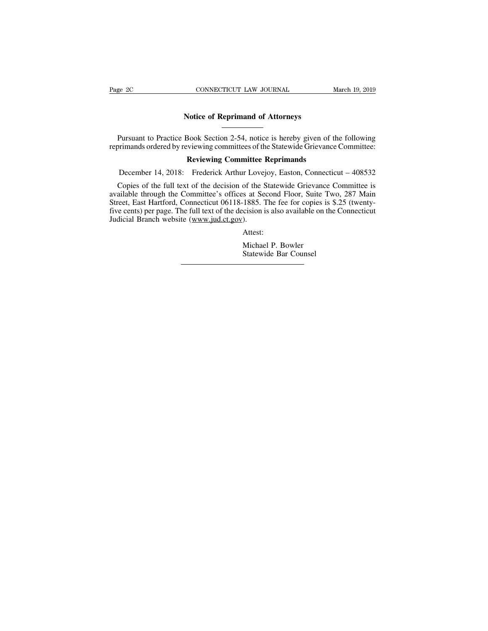# **CONNECTICUT LAW JOURNAL**<br> **Notice of Reprimand of Attorneys**<br> **Pool: Sostion 2.54, potice is borshy given of**

Pursuant to Practice Book Section 2-54, notice is hereby given of the following<br>Pursuant to Practice Book Section 2-54, notice is hereby given of the following<br>primands ordered by reviewing committees of the Statewide Grie Page 2C CONNECTICUT LAW JOURNAL March 19, 2019<br>
Notice of Reprimand of Attorneys<br>
Pursuant to Practice Book Section 2-54, notice is hereby given of the following<br>
reprimands ordered by reviewing committees of the Statewide **Reprimand of Attorneys**<br> **Rursuant to Practice Book Section 2-54, notice is hereby given of the following reprimands ordered by reviewing committees of the Statewide Grievance Committee:<br>
<b>Reviewing Committee Reprimands**<br> Notice of Reprimand of Attorneys<br>
Pursuant to Practice Book Section 2-54, notice is hereby given of the following<br>
rimands ordered by reviewing committees of the Statewide Grievance Committee:<br>
Reviewing Committee Repriman

Pursuant to Practice Book Section 2-54, notice is hereby given of the following<br>primands ordered by reviewing committees of the Statewide Grievance Committee:<br>**Reviewing Committee Reprimands**<br>December 14, 2018: Frederick A Pursuant to Practice Book Section 2-54, notice is hereby given of the following<br>reprimands ordered by reviewing committees of the Statewide Grievance Committee:<br>**Reviewing Committee Reprimands**<br>December 14, 2018: Frederick reprimands ordered by reviewing committees of the Statewide Grievance Committee:<br> **Reviewing Committee Reprimands**<br>
December 14, 2018: Frederick Arthur Lovejoy, Easton, Connecticut – 408532<br>
Copies of the full text of the **Five Committee Reprimands**<br>
December 14, 2018: Frederick Arthur Lovejoy, Easton, Connecticut – 408532<br>
Copies of the full text of the decision of the Statewide Grievance Committee is<br>
available through the Committee's off December 14, 2018: Frederick Arthur Love<br>Copies of the full text of the decision of the S<br>available through the Committee's offices at Se<br>Street, East Hartford, Connecticut 06118-1885.<br>Tive cents) per page. The full text o or and but one value of the state of the state of the state of the state of the state of the state of the state of the State Michael P. Bowler State wide Bar Counsel Street, East Hartford, Connecticut 06118-1885. The fee for copies is \$.25 (twenty-<br>five cents) per page. The full text of the decision is also available on the Connecticut<br>Judicial Branch website (www.jud.ct.gov).<br>Attest:<br>

Attest: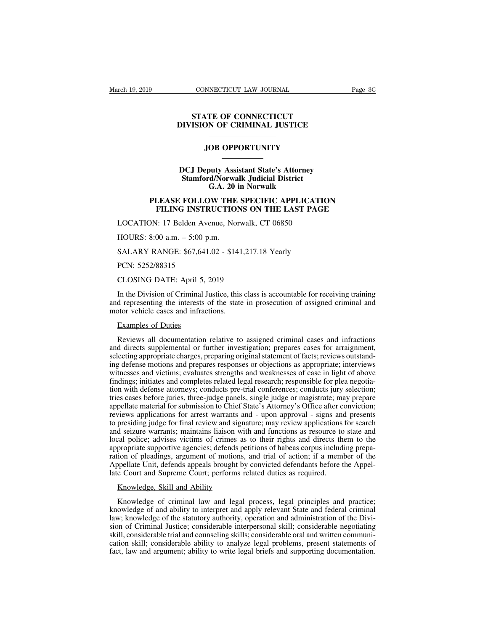## **CONNECTICUT LAW JOURNAL<br>
STATE OF CONNECTICUT<br>
ISION OF CRIMINAL JUSTICE CONNECTICUT LAW JOURNAL PRESENT PROPERTY AND INTERFERIENCE THE CRIMINAL JUSTICE THE OF CONNECTICUT<br>
DIE OF CONNECTICUT<br>
DIE OPPORTUNITY<br>
JOB OPPORTUNITY**

## **STATE OF CONNECTICUT<br>DIVISION OF CRIMINAL JUSTICE<br>JOB OPPORTUNITY<br>DCJ Deputy Assistant State's Attorney<br>Stamford/Norwalk Judicial District<br>G.A. 20 in Norwalk STAME JUSTICE**<br> **STAME OF CRIMINAL JUSTICE**<br> **STAME OF OPPORTUNITY**<br> **Stamford/Norwalk Judicial District<br>
G.A. 20 in Norwalk**<br>
FOULOW THE OPECING 1 PDLUC1 TIC **GB OPPORTUNITY**<br>
puty Assistant State's Attorney<br>
d/Norwalk Judicial District<br>
G.A. 20 in Norwalk<br>
DW THE SPECIFIC APPLICA<br>
MUGTIONS ON THE LATER **PLEASE FOLLOW THE SPECIFIC APPLICATION<br>
PLEASE FOLLOW THE SPECIFIC APPLICATION<br>
FILEASE FOLLOW THE SPECIFIC APPLICATION<br>
FILING INSTRUCTIONS ON THE LAST PAGE<br>
NALLOW THE SPECIFIC APPLICATION<br>
NALLOW THE SPECIFIC APPLICATI FILING INSTRUCTIONS ON THE LAST PAGE**<br>
FILING INSTRUCTIONS ON THE LAST PAGE<br>
FILING INSTRUCTIONS ON THE LAST PAGE<br>
FILING INSTRUCTIONS ON THE LAST PAGE<br>
FILING INSTRUCTIONS ON THE LAST PAGE<br>
FILING Avenue, Norwalk, CT 068 DCJ Deputy Assistant State's Attorney<br>
Stamford/Norwalk Judicial District<br>
G.A. 20 in Norwalk<br>
PLEASE FOLLOW THE SPECIFIC APPLICATIC<br>
FILING INSTRUCTIONS ON THE LAST PAGE<br>
LOCATION: 17 Belden Avenue, Norwalk, CT 06850<br>
HOU

# G.A. 20<br>
G.A. 20<br>
PLEASE FOLLOW THE<br>
FILING INSTRUCTIO<br>
LOCATION: 17 Belden Avenue, No<br>
HOURS: 8:00 a.m. – 5:00 p.m.<br>
SALARY RANGE: \$67,641.02 - \$14 **PLEASE FOLLOW THE SPECIFIC APPLICATION FILING INSTRUCTIONS ON THE LAST PAGE LOCATION: 17 Belden Avenue, Norwalk, CT 06850<br>HOURS: 8:00 a.m. – 5:00 p.m.<br>SALARY RANGE: \$67,641.02 - \$141,217.18 Yearly PCN: 5252/88315**

FILING INSTR<br>
LOCATION: 17 Belden Ave<br>
HOURS: 8:00 a.m. – 5:00 p.<br>
SALARY RANGE: \$67,641.<br>
PCN: 5252/88315<br>
CLOSING DATE: April 5, 2

EOCATION: 17 Belaen Avenue, Norwalk,<br>HOURS: 8:00 a.m. – 5:00 p.m.<br>SALARY RANGE: \$67,641.02 - \$141,217.<br>PCN: 5252/88315<br>CLOSING DATE: April 5, 2019<br>In the Division of Criminal Justice, this class HOUKS: 8:00 a.m. – 5:00 p.m.<br>
SALARY RANGE: \$67,641.02 - \$141,217.18 Yearly<br>
PCN: 5252/88315<br>
CLOSING DATE: April 5, 2019<br>
In the Division of Criminal Justice, this class is accountable for receiving training<br>
d representi SALARY RANGE: \$67,641.02 - \$141,217.18 Yearly<br>PCN: 5252/88315<br>CLOSING DATE: April 5, 2019<br>In the Division of Criminal Justice, this class is accountable for receiving training<br>and representing the interests of the state in PCN: 5252/88315<br>PCN: 5252/88315<br>CLOSING DATE: April 5, 2019<br>In the Division of Criminal Justice, this<br>and representing the interests of the state<br>motor vehicle cases and infractions.<br>Examples of Duties CLOSING DATE: April 5, 7<br>In the Division of Criminal J<br>d representing the interests of<br>tor vehicle cases and infraction<br>Examples of Duties

ECOSING BITE: TipH 3, 2013<br>
In the Division of Criminal Justice, this class is accountable for receiving training<br>
d representing the interests of the state in prosecution of assigned criminal and<br>
otor vehicle cases and i In the Division of Criminal Justice, this class is accountable for receiving training<br>and representing the interests of the state in prosecution of assigned criminal and<br>motor vehicle cases and infractions.<br>Examples of Dut Frame and representing the interests of the state in prosecution of assigned criminal and<br>motor vehicle cases and infractions.<br>Examples of Duties<br>Reviews all documentation relative to assigned criminal cases and infraction motor vehicle cases and infractions.<br>
Examples of Duties<br>
Reviews all documentation relative to assigned criminal cases and infractions<br>
and directs supplemental or further investigation; prepares cases for arraignment,<br>
s Examples of Duties<br>Reviews all documentation relative to assigned criminal cases and infractions<br>and directs supplemental or further investigation; prepares cases for arraignment,<br>selecting appropriate charges, preparing o Examples of Duties<br>Reviews all documentation relative to assigned criminal cases and infractions<br>and directs supplemental or further investigation; prepares cases for arraignment,<br>selecting appropriate charges, preparing o Reviews all documentation relative to assigned criminal cases and infractions<br>and directs supplemental or further investigation; prepares cases for arraignment,<br>selecting appropriate charges, preparing original statement o Reviews an documentation relative to assigned criminar cases and inflactions<br>and directs supplemental or further investigation; prepares cases for arraignment,<br>selecting appropriate charges, preparing original statement of and unects supperhendar or further investigation, prepares cases for antaignment, selecting appropriate charges, preparing original statement of facts; reviews outstanding defense motions and prepares responses or objectio selecting appropriate charges, preparing original statement or facts, reviews outstanding defense motions and prepares responses or objections as appropriate; interviews witnesses and victims; evaluates strengths and weakn Ing declears included proparts responses of objections as appropriate, interviews<br>witnesses and victims; evaluates strengths and weaknesses of case in light of above<br>findings; initiates and completes related legal research whitesses and victims, evaluates sticing<br>and weaknesses of ease in fight of above<br>findings; initiates and completes related legal research; responsible for plea negotia-<br>tion with defense attorneys; conducts pre-trial conf local police; advises victims of crimes, and trial of action; it is a member of the anglotation with defense attorneys; conducts pre-trial conferences; conducts jury selection; tries cases before juries, three-judge panels approvide supportive agencies; different and the approximates and prepare appellate material for submission to Chief State's Attorney's Office after conviction; reviews applications for arrest warrants and - upon approval ration of pleadings, and trial of motions, and trial of actions are appellate material for submission to Chief State's Attorney's Office after conviction; reviews applications for arrest warrants and - upon approval - sign appendic material for submission to efficient and a security s office anter conviction, reviews applications for arrest warrants and - upon approval - signs and presents to presiding judge for final review and signature; m late Court and Supreme Court; performs related duties as resource to local police; advises victims of crimes as to their rights and directs the appropriate supportive agencies; defends petitions of habeas corpus include ra d seizure warrants; maintains liaison with<br>cal police; advises victims of crimes as<br>propriate supportive agencies; defends pei<br>ion of pleadings, argument of motions,<br>ppellate Unit, defends appeals brought by<br>e Court and Su propriate supportive agencies; defends petitions of habeas corpus including prepa-<br>ion of pleadings, argument of motions, and trial of action; if a member of the<br>opellate Unit, defends appeals brought by convicted defendan

ration of pleadings, argument of motions, and trial of action; if a member of the<br>Appellate Unit, defends appeals brought by convicted defendants before the Appel-<br>late Court and Supreme Court; performs related duties as r Appellate Unit, defends appeals brought by convicted defendants before the Appel-<br>late Court and Supreme Court; performs related duties as required.<br>Knowledge, Skill and Ability<br>Knowledge of criminal law and legal process, late Court and Supreme Court; performs related duties as required.<br>
Knowledge, Skill and Ability<br>
Knowledge of criminal law and legal process, legal principles and practice;<br>
knowledge of and ability to interpret and apply Knowledge, Skill and Ability<br>Knowledge of criminal law and legal process, legal principles and practice;<br>knowledge of and ability to interpret and apply relevant State and federal criminal<br>law; knowledge of the statutory a Knowledge, Skill and Ability<br>Knowledge of criminal law and legal process, legal principles and practice;<br>knowledge of and ability to interpret and apply relevant State and federal criminal<br>law; knowledge of the statutory a Knowledge of criminal law and legal process, legal principles and practice;<br>knowledge of and ability to interpret and apply relevant State and federal criminal<br>law; knowledge of the statutory authority, operation and admin